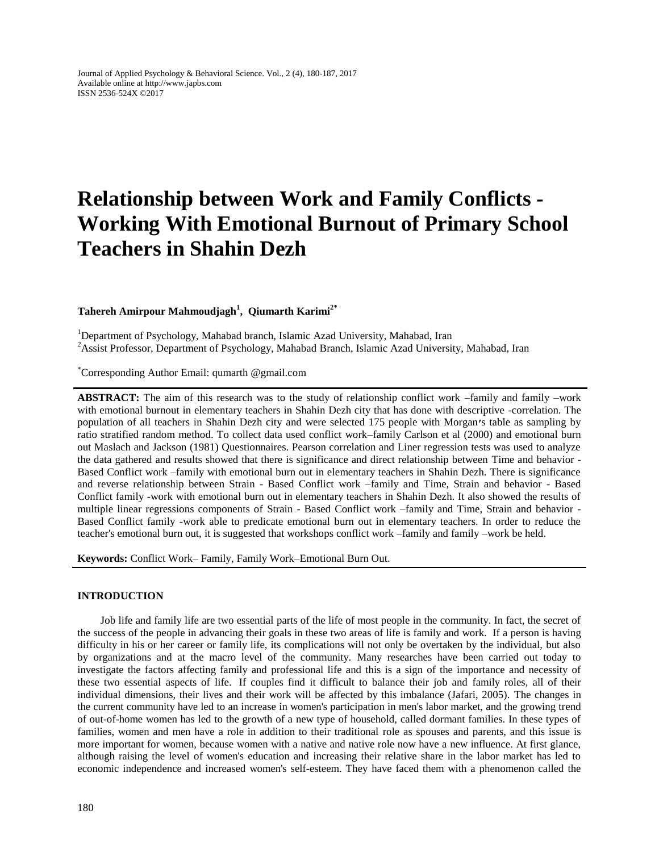Journal of Applied Psychology & Behavioral Science. Vol., 2 (4), 180-187, 2017 Available online at http://www.japbs.com ISSN 2536-524X ©2017

# **Relationship between Work and Family Conflicts - Working With Emotional Burnout of Primary School Teachers in Shahin Dezh**

## **Tahereh Amirpour Mahmoudjagh<sup>1</sup> , Qiumarth Karimi2\***

<sup>1</sup>Department of Psychology, Mahabad branch, Islamic Azad University, Mahabad, Iran <sup>2</sup>Assist Professor, Department of Psychology, Mahabad Branch, Islamic Azad University, Mahabad, Iran

\*Corresponding Author Email: qumarth @gmail.com

**ABSTRACT:** The aim of this research was to the study of relationship conflict work –family and family –work with emotional burnout in elementary teachers in Shahin Dezh city that has done with descriptive -correlation. The population of all teachers in Shahin Dezh city and were selected 175 people with Morgan**׳**s table as sampling by ratio stratified random method. To collect data used conflict work–family Carlson et al (2000) and emotional burn out Maslach and Jackson (1981) Questionnaires. Pearson correlation and Liner regression tests was used to analyze the data gathered and results showed that there is significance and direct relationship between Time and behavior - Based Conflict work –family with emotional burn out in elementary teachers in Shahin Dezh. There is significance and reverse relationship between Strain - Based Conflict work –family and Time, Strain and behavior - Based Conflict family -work with emotional burn out in elementary teachers in Shahin Dezh. It also showed the results of multiple linear regressions components of Strain - Based Conflict work –family and Time, Strain and behavior - Based Conflict family -work able to predicate emotional burn out in elementary teachers. In order to reduce the teacher's emotional burn out, it is suggested that workshops conflict work –family and family –work be held.

**Keywords:** Conflict Work– Family, Family Work–Emotional Burn Out.

### **INTRODUCTION**

Job life and family life are two essential parts of the life of most people in the community. In fact, the secret of the success of the people in advancing their goals in these two areas of life is family and work. If a person is having difficulty in his or her career or family life, its complications will not only be overtaken by the individual, but also by organizations and at the macro level of the community. Many researches have been carried out today to investigate the factors affecting family and professional life and this is a sign of the importance and necessity of these two essential aspects of life. If couples find it difficult to balance their job and family roles, all of their individual dimensions, their lives and their work will be affected by this imbalance (Jafari, 2005). The changes in the current community have led to an increase in women's participation in men's labor market, and the growing trend of out-of-home women has led to the growth of a new type of household, called dormant families. In these types of families, women and men have a role in addition to their traditional role as spouses and parents, and this issue is more important for women, because women with a native and native role now have a new influence. At first glance, although raising the level of women's education and increasing their relative share in the labor market has led to economic independence and increased women's self-esteem. They have faced them with a phenomenon called the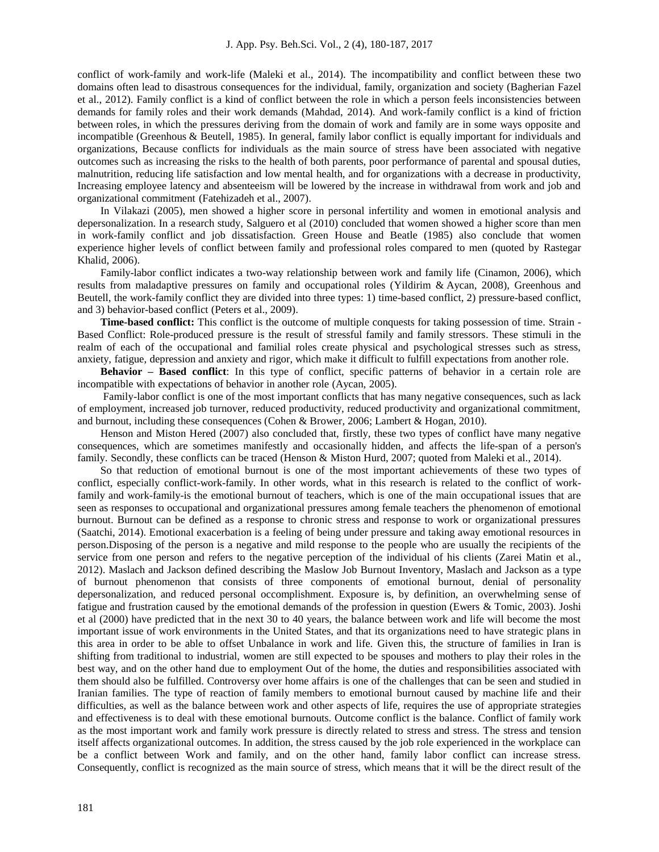conflict of work-family and work-life (Maleki et al., 2014). The incompatibility and conflict between these two domains often lead to disastrous consequences for the individual, family, organization and society (Bagherian Fazel et al., 2012). Family conflict is a kind of conflict between the role in which a person feels inconsistencies between demands for family roles and their work demands (Mahdad, 2014). And work-family conflict is a kind of friction between roles, in which the pressures deriving from the domain of work and family are in some ways opposite and incompatible (Greenhous & Beutell, 1985). In general, family labor conflict is equally important for individuals and organizations, Because conflicts for individuals as the main source of stress have been associated with negative outcomes such as increasing the risks to the health of both parents, poor performance of parental and spousal duties, malnutrition, reducing life satisfaction and low mental health, and for organizations with a decrease in productivity, Increasing employee latency and absenteeism will be lowered by the increase in withdrawal from work and job and organizational commitment (Fatehizadeh et al., 2007).

In Vilakazi (2005), men showed a higher score in personal infertility and women in emotional analysis and depersonalization. In a research study, Salguero et al (2010) concluded that women showed a higher score than men in work-family conflict and job dissatisfaction. Green House and Beatle (1985) also conclude that women experience higher levels of conflict between family and professional roles compared to men (quoted by Rastegar Khalid, 2006).

Family-labor conflict indicates a two-way relationship between work and family life (Cinamon, 2006), which results from maladaptive pressures on family and occupational roles (Yildirim & Aycan, 2008), Greenhous and Beutell, the work-family conflict they are divided into three types: 1) time-based conflict, 2) pressure-based conflict, and 3) behavior-based conflict (Peters et al., 2009).

**Time-based conflict:** This conflict is the outcome of multiple conquests for taking possession of time. Strain -Based Conflict: Role-produced pressure is the result of stressful family and family stressors. These stimuli in the realm of each of the occupational and familial roles create physical and psychological stresses such as stress, anxiety, fatigue, depression and anxiety and rigor, which make it difficult to fulfill expectations from another role.

**Behavior – Based conflict**: In this type of conflict, specific patterns of behavior in a certain role are incompatible with expectations of behavior in another role (Aycan, 2005).

Family-labor conflict is one of the most important conflicts that has many negative consequences, such as lack of employment, increased job turnover, reduced productivity, reduced productivity and organizational commitment, and burnout, including these consequences (Cohen & Brower, 2006; Lambert & Hogan, 2010).

Henson and Miston Hered (2007) also concluded that, firstly, these two types of conflict have many negative consequences, which are sometimes manifestly and occasionally hidden, and affects the life-span of a person's family. Secondly, these conflicts can be traced (Henson & Miston Hurd, 2007; quoted from Maleki et al., 2014).

So that reduction of emotional burnout is one of the most important achievements of these two types of conflict, especially conflict-work-family. In other words, what in this research is related to the conflict of workfamily and work-family-is the emotional burnout of teachers, which is one of the main occupational issues that are seen as responses to occupational and organizational pressures among female teachers the phenomenon of emotional burnout. Burnout can be defined as a response to chronic stress and response to work or organizational pressures (Saatchi, 2014). Emotional exacerbation is a feeling of being under pressure and taking away emotional resources in person.Disposing of the person is a negative and mild response to the people who are usually the recipients of the service from one person and refers to the negative perception of the individual of his clients (Zarei Matin et al., 2012). Maslach and Jackson defined describing the Maslow Job Burnout Inventory, Maslach and Jackson as a type of burnout phenomenon that consists of three components of emotional burnout, denial of personality depersonalization, and reduced personal occomplishment. Exposure is, by definition, an overwhelming sense of fatigue and frustration caused by the emotional demands of the profession in question (Ewers & Tomic, 2003). Joshi et al (2000) have predicted that in the next 30 to 40 years, the balance between work and life will become the most important issue of work environments in the United States, and that its organizations need to have strategic plans in this area in order to be able to offset Unbalance in work and life. Given this, the structure of families in Iran is shifting from traditional to industrial, women are still expected to be spouses and mothers to play their roles in the best way, and on the other hand due to employment Out of the home, the duties and responsibilities associated with them should also be fulfilled. Controversy over home affairs is one of the challenges that can be seen and studied in Iranian families. The type of reaction of family members to emotional burnout caused by machine life and their difficulties, as well as the balance between work and other aspects of life, requires the use of appropriate strategies and effectiveness is to deal with these emotional burnouts. Outcome conflict is the balance. Conflict of family work as the most important work and family work pressure is directly related to stress and stress. The stress and tension itself affects organizational outcomes. In addition, the stress caused by the job role experienced in the workplace can be a conflict between Work and family, and on the other hand, family labor conflict can increase stress. Consequently, conflict is recognized as the main source of stress, which means that it will be the direct result of the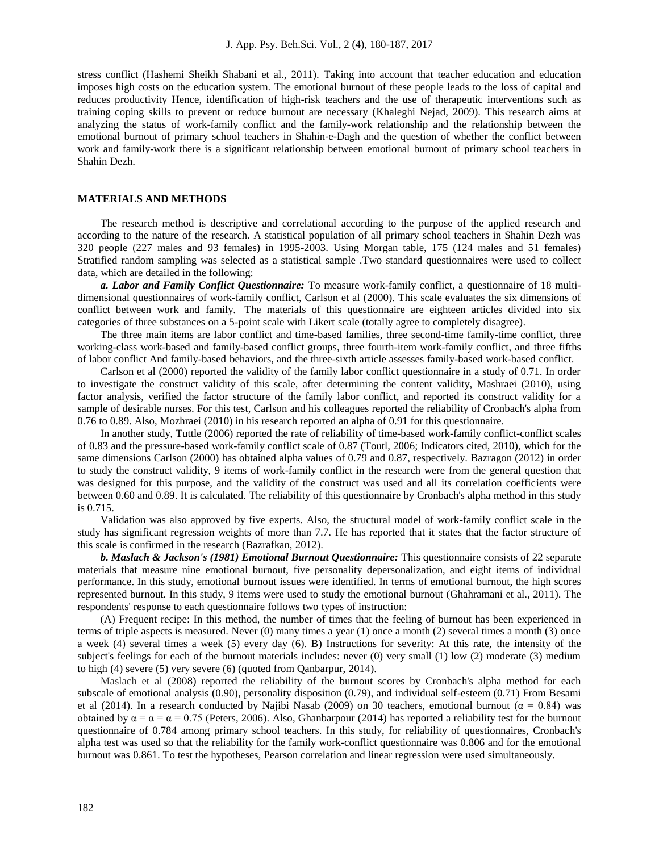stress conflict (Hashemi Sheikh Shabani et al., 2011). Taking into account that teacher education and education imposes high costs on the education system. The emotional burnout of these people leads to the loss of capital and reduces productivity Hence, identification of high-risk teachers and the use of therapeutic interventions such as training coping skills to prevent or reduce burnout are necessary (Khaleghi Nejad, 2009). This research aims at analyzing the status of work-family conflict and the family-work relationship and the relationship between the emotional burnout of primary school teachers in Shahin-e-Dagh and the question of whether the conflict between work and family-work there is a significant relationship between emotional burnout of primary school teachers in Shahin Dezh.

## **MATERIALS AND METHODS**

The research method is descriptive and correlational according to the purpose of the applied research and according to the nature of the research. A statistical population of all primary school teachers in Shahin Dezh was 320 people (227 males and 93 females) in 1995-2003. Using Morgan table, 175 (124 males and 51 females) Stratified random sampling was selected as a statistical sample .Two standard questionnaires were used to collect data, which are detailed in the following:

*a. Labor and Family Conflict Questionnaire:* To measure work-family conflict, a questionnaire of 18 multidimensional questionnaires of work-family conflict, Carlson et al (2000). This scale evaluates the six dimensions of conflict between work and family. The materials of this questionnaire are eighteen articles divided into six categories of three substances on a 5-point scale with Likert scale (totally agree to completely disagree).

The three main items are labor conflict and time-based families, three second-time family-time conflict, three working-class work-based and family-based conflict groups, three fourth-item work-family conflict, and three fifths of labor conflict And family-based behaviors, and the three-sixth article assesses family-based work-based conflict.

Carlson et al (2000) reported the validity of the family labor conflict questionnaire in a study of 0.71. In order to investigate the construct validity of this scale, after determining the content validity, Mashraei (2010), using factor analysis, verified the factor structure of the family labor conflict, and reported its construct validity for a sample of desirable nurses. For this test, Carlson and his colleagues reported the reliability of Cronbach's alpha from 0.76 to 0.89. Also, Mozhraei (2010) in his research reported an alpha of 0.91 for this questionnaire.

In another study, Tuttle (2006) reported the rate of reliability of time-based work-family conflict-conflict scales of 0.83 and the pressure-based work-family conflict scale of 0.87 (Toutl, 2006; Indicators cited, 2010), which for the same dimensions Carlson (2000) has obtained alpha values of 0.79 and 0.87, respectively. Bazragon (2012) in order to study the construct validity, 9 items of work-family conflict in the research were from the general question that was designed for this purpose, and the validity of the construct was used and all its correlation coefficients were between 0.60 and 0.89. It is calculated. The reliability of this questionnaire by Cronbach's alpha method in this study is 0.715.

Validation was also approved by five experts. Also, the structural model of work-family conflict scale in the study has significant regression weights of more than 7.7. He has reported that it states that the factor structure of this scale is confirmed in the research (Bazrafkan, 2012).

*b. Maslach & Jackson's (1981) Emotional Burnout Questionnaire:* This questionnaire consists of 22 separate materials that measure nine emotional burnout, five personality depersonalization, and eight items of individual performance. In this study, emotional burnout issues were identified. In terms of emotional burnout, the high scores represented burnout. In this study, 9 items were used to study the emotional burnout (Ghahramani et al., 2011). The respondents' response to each questionnaire follows two types of instruction:

(A) Frequent recipe: In this method, the number of times that the feeling of burnout has been experienced in terms of triple aspects is measured. Never (0) many times a year (1) once a month (2) several times a month (3) once a week (4) several times a week (5) every day (6). B) Instructions for severity: At this rate, the intensity of the subject's feelings for each of the burnout materials includes: never (0) very small (1) low (2) moderate (3) medium to high (4) severe (5) very severe (6) (quoted from Qanbarpur, 2014).

Maslach et al (2008) reported the reliability of the burnout scores by Cronbach's alpha method for each subscale of emotional analysis (0.90), personality disposition (0.79), and individual self-esteem (0.71) From Besami et al (2014). In a research conducted by Najibi Nasab (2009) on 30 teachers, emotional burnout ( $\alpha$  = 0.84) was obtained by  $\alpha = \alpha = 0.75$  (Peters, 2006). Also, Ghanbarpour (2014) has reported a reliability test for the burnout questionnaire of 0.784 among primary school teachers. In this study, for reliability of questionnaires, Cronbach's alpha test was used so that the reliability for the family work-conflict questionnaire was 0.806 and for the emotional burnout was 0.861. To test the hypotheses, Pearson correlation and linear regression were used simultaneously.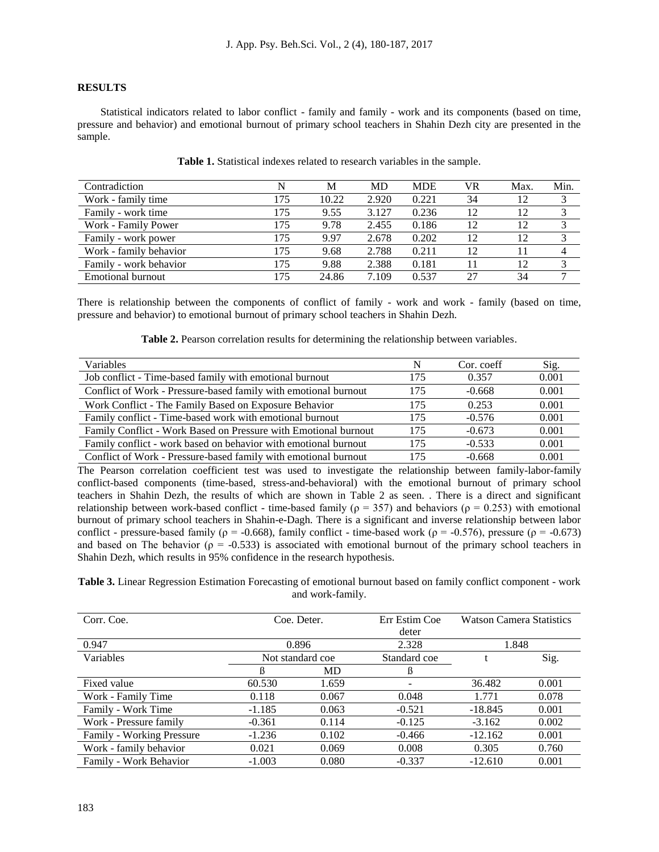## **RESULTS**

Statistical indicators related to labor conflict - family and family - work and its components (based on time, pressure and behavior) and emotional burnout of primary school teachers in Shahin Dezh city are presented in the sample.

| Contradiction          | N   | М     | MD    | <b>MDE</b> | VR | Max. | Min. |
|------------------------|-----|-------|-------|------------|----|------|------|
| Work - family time     | 75، | 10.22 | 2.920 | 0.221      | 34 | 12   |      |
| Family - work time     | 175 | 9.55  | 3.127 | 0.236      | 12 | 12   |      |
| Work - Family Power    | 175 | 9.78  | 2.455 | 0.186      | 12 | 12   |      |
| Family - work power    | 175 | 9.97  | 2.678 | 0.202      | 12 | 12   |      |
| Work - family behavior | 175 | 9.68  | 2.788 | 0.211      | 12 |      |      |
| Family - work behavior | 175 | 9.88  | 2.388 | 0.181      |    | 12   |      |
| Emotional burnout      | 175 | 24.86 | 7.109 | 0.537      | 27 | 34   |      |

**Table 1.** Statistical indexes related to research variables in the sample.

There is relationship between the components of conflict of family - work and work - family (based on time, pressure and behavior) to emotional burnout of primary school teachers in Shahin Dezh.

**Table 2.** Pearson correlation results for determining the relationship between variables.

| Variables                                                       | N   | Cor. coeff | Sig.  |
|-----------------------------------------------------------------|-----|------------|-------|
| Job conflict - Time-based family with emotional burnout         | 175 | 0.357      | 0.001 |
| Conflict of Work - Pressure-based family with emotional burnout | 175 | $-0.668$   | 0.001 |
| Work Conflict - The Family Based on Exposure Behavior           | 175 | 0.253      | 0.001 |
| Family conflict - Time-based work with emotional burnout        | 175 | $-0.576$   | 0.001 |
| Family Conflict - Work Based on Pressure with Emotional burnout | 175 | $-0.673$   | 0.001 |
| Family conflict - work based on behavior with emotional burnout | 175 | $-0.533$   | 0.001 |
| Conflict of Work - Pressure-based family with emotional burnout | 175 | $-0.668$   | 0.001 |

The Pearson correlation coefficient test was used to investigate the relationship between family-labor-family conflict-based components (time-based, stress-and-behavioral) with the emotional burnout of primary school teachers in Shahin Dezh, the results of which are shown in Table 2 as seen. . There is a direct and significant relationship between work-based conflict - time-based family ( $\rho = 357$ ) and behaviors ( $\rho = 0.253$ ) with emotional burnout of primary school teachers in Shahin-e-Dagh. There is a significant and inverse relationship between labor conflict - pressure-based family ( $\rho = -0.668$ ), family conflict - time-based work ( $\rho = -0.576$ ), pressure ( $\rho = -0.673$ ) and based on The behavior ( $\rho = -0.533$ ) is associated with emotional burnout of the primary school teachers in Shahin Dezh, which results in 95% confidence in the research hypothesis.

**Table 3.** Linear Regression Estimation Forecasting of emotional burnout based on family conflict component - work and work-family.

| Corr. Coe.                | Coe. Deter.      |           | Err Estim Coe | <b>Watson Camera Statistics</b> |       |
|---------------------------|------------------|-----------|---------------|---------------------------------|-------|
|                           |                  |           | deter         |                                 |       |
| 0.947                     | 0.896            |           | 2.328         | 1.848                           |       |
| Variables                 | Not standard coe |           | Standard coe  | Sig.                            |       |
|                           | в                | <b>MD</b> | B             |                                 |       |
| Fixed value               | 60.530           | 1.659     | -             | 36.482                          | 0.001 |
| Work - Family Time        | 0.118            | 0.067     | 0.048         | 1.771                           | 0.078 |
| Family - Work Time        | $-1.185$         | 0.063     | $-0.521$      | $-18.845$                       | 0.001 |
| Work - Pressure family    | $-0.361$         | 0.114     | $-0.125$      | $-3.162$                        | 0.002 |
| Family - Working Pressure | $-1.236$         | 0.102     | $-0.466$      | $-12.162$                       | 0.001 |
| Work - family behavior    | 0.021            | 0.069     | 0.008         | 0.305                           | 0.760 |
| Family - Work Behavior    | $-1.003$         | 0.080     | $-0.337$      | $-12.610$                       | 0.001 |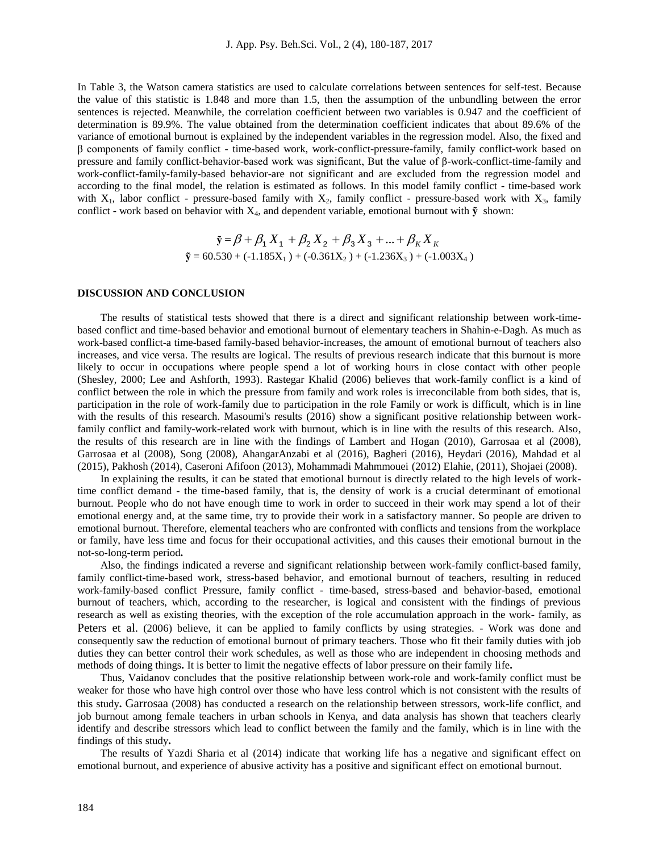In Table 3, the Watson camera statistics are used to calculate correlations between sentences for self-test. Because the value of this statistic is 1.848 and more than 1.5, then the assumption of the unbundling between the error sentences is rejected. Meanwhile, the correlation coefficient between two variables is 0.947 and the coefficient of determination is 89.9%. The value obtained from the determination coefficient indicates that about 89.6% of the variance of emotional burnout is explained by the independent variables in the regression model. Also, the fixed and β components of family conflict - time-based work, work-conflict-pressure-family, family conflict-work based on pressure and family conflict-behavior-based work was significant, But the value of β-work-conflict-time-family and work-conflict-family-family-based behavior-are not significant and are excluded from the regression model and according to the final model, the relation is estimated as follows. In this model family conflict - time-based work with  $X_1$ , labor conflict - pressure-based family with  $X_2$ , family conflict - pressure-based work with  $X_3$ , family conflict - work based on behavior with  $X_4$ , and dependent variable, emotional burnout with  $\tilde{y}$  shown:

$$
\tilde{\mathbf{y}} = \beta + \beta_1 X_1 + \beta_2 X_2 + \beta_3 X_3 + \dots + \beta_K X_K
$$
  

$$
\tilde{\mathbf{y}} = 60.530 + (-1.185X_1) + (-0.361X_2) + (-1.236X_3) + (-1.003X_4)
$$

## **DISCUSSION AND CONCLUSION**

The results of statistical tests showed that there is a direct and significant relationship between work-timebased conflict and time-based behavior and emotional burnout of elementary teachers in Shahin-e-Dagh. As much as work-based conflict-a time-based family-based behavior-increases, the amount of emotional burnout of teachers also increases, and vice versa. The results are logical. The results of previous research indicate that this burnout is more likely to occur in occupations where people spend a lot of working hours in close contact with other people (Shesley, 2000; Lee and Ashforth, 1993). Rastegar Khalid (2006) believes that work-family conflict is a kind of conflict between the role in which the pressure from family and work roles is irreconcilable from both sides, that is, participation in the role of work-family due to participation in the role Family or work is difficult, which is in line with the results of this research. Masoumi's results (2016) show a significant positive relationship between workfamily conflict and family-work-related work with burnout, which is in line with the results of this research. Also, the results of this research are in line with the findings of Lambert and Hogan (2010), Garrosaa et al (2008), Garrosaa et al (2008), Song (2008), AhangarAnzabi et al (2016), Bagheri (2016), Heydari (2016), Mahdad et al (2015), Pakhosh (2014), Caseroni Afifoon (2013), Mohammadi Mahmmouei (2012) Elahie, (2011), Shojaei (2008).

In explaining the results, it can be stated that emotional burnout is directly related to the high levels of worktime conflict demand - the time-based family, that is, the density of work is a crucial determinant of emotional burnout. People who do not have enough time to work in order to succeed in their work may spend a lot of their emotional energy and, at the same time, try to provide their work in a satisfactory manner. So people are driven to emotional burnout. Therefore, elemental teachers who are confronted with conflicts and tensions from the workplace or family, have less time and focus for their occupational activities, and this causes their emotional burnout in the not-so-long-term period**.**

Also, the findings indicated a reverse and significant relationship between work-family conflict-based family, family conflict-time-based work, stress-based behavior, and emotional burnout of teachers, resulting in reduced work-family-based conflict Pressure, family conflict - time-based, stress-based and behavior-based, emotional burnout of teachers, which, according to the researcher, is logical and consistent with the findings of previous research as well as existing theories, with the exception of the role accumulation approach in the work- family, as Peters et al. (2006) believe, it can be applied to family conflicts by using strategies. - Work was done and consequently saw the reduction of emotional burnout of primary teachers. Those who fit their family duties with job duties they can better control their work schedules, as well as those who are independent in choosing methods and methods of doing things**.** It is better to limit the negative effects of labor pressure on their family life**.**

Thus, Vaidanov concludes that the positive relationship between work-role and work-family conflict must be weaker for those who have high control over those who have less control which is not consistent with the results of this study**.** Garrosaa (2008) has conducted a research on the relationship between stressors, work-life conflict, and job burnout among female teachers in urban schools in Kenya, and data analysis has shown that teachers clearly identify and describe stressors which lead to conflict between the family and the family, which is in line with the findings of this study**.**

The results of Yazdi Sharia et al (2014) indicate that working life has a negative and significant effect on emotional burnout, and experience of abusive activity has a positive and significant effect on emotional burnout.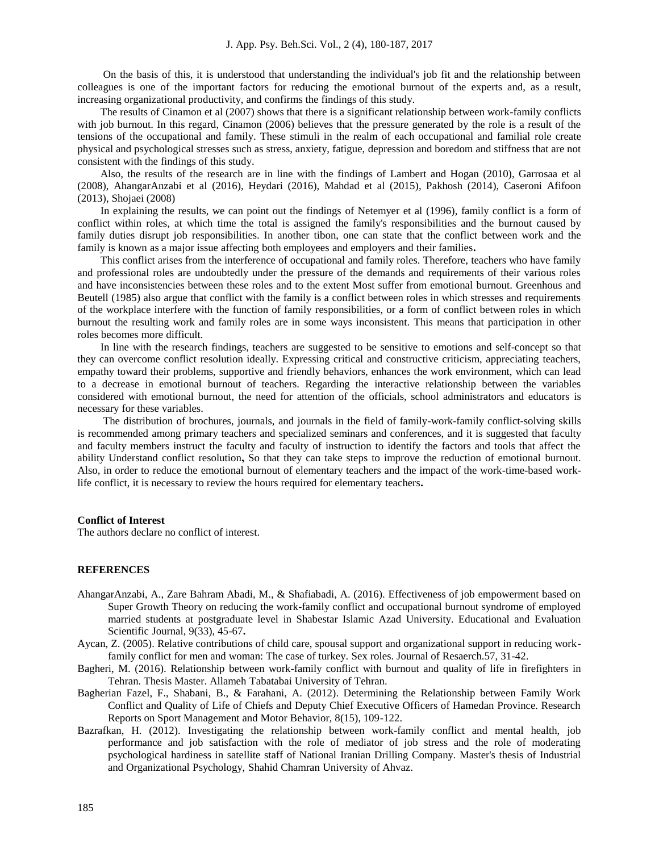On the basis of this, it is understood that understanding the individual's job fit and the relationship between colleagues is one of the important factors for reducing the emotional burnout of the experts and, as a result, increasing organizational productivity, and confirms the findings of this study.

The results of Cinamon et al (2007) shows that there is a significant relationship between work-family conflicts with job burnout. In this regard, Cinamon (2006) believes that the pressure generated by the role is a result of the tensions of the occupational and family. These stimuli in the realm of each occupational and familial role create physical and psychological stresses such as stress, anxiety, fatigue, depression and boredom and stiffness that are not consistent with the findings of this study.

Also, the results of the research are in line with the findings of Lambert and Hogan (2010), Garrosaa et al (2008), AhangarAnzabi et al (2016), Heydari (2016), Mahdad et al (2015), Pakhosh (2014), Caseroni Afifoon (2013), Shojaei (2008)

In explaining the results, we can point out the findings of Netemyer et al (1996), family conflict is a form of conflict within roles, at which time the total is assigned the family's responsibilities and the burnout caused by family duties disrupt job responsibilities. In another tibon, one can state that the conflict between work and the family is known as a major issue affecting both employees and employers and their families**.**

This conflict arises from the interference of occupational and family roles. Therefore, teachers who have family and professional roles are undoubtedly under the pressure of the demands and requirements of their various roles and have inconsistencies between these roles and to the extent Most suffer from emotional burnout. Greenhous and Beutell (1985) also argue that conflict with the family is a conflict between roles in which stresses and requirements of the workplace interfere with the function of family responsibilities, or a form of conflict between roles in which burnout the resulting work and family roles are in some ways inconsistent. This means that participation in other roles becomes more difficult.

In line with the research findings, teachers are suggested to be sensitive to emotions and self-concept so that they can overcome conflict resolution ideally. Expressing critical and constructive criticism, appreciating teachers, empathy toward their problems, supportive and friendly behaviors, enhances the work environment, which can lead to a decrease in emotional burnout of teachers. Regarding the interactive relationship between the variables considered with emotional burnout, the need for attention of the officials, school administrators and educators is necessary for these variables.

The distribution of brochures, journals, and journals in the field of family-work-family conflict-solving skills is recommended among primary teachers and specialized seminars and conferences, and it is suggested that faculty and faculty members instruct the faculty and faculty of instruction to identify the factors and tools that affect the ability Understand conflict resolution**,** So that they can take steps to improve the reduction of emotional burnout. Also, in order to reduce the emotional burnout of elementary teachers and the impact of the work-time-based worklife conflict, it is necessary to review the hours required for elementary teachers**.**

### **Conflict of Interest**

The authors declare no conflict of interest.

### **REFERENCES**

- AhangarAnzabi, A., Zare Bahram Abadi, M., & Shafiabadi, A. (2016). Effectiveness of job empowerment based on Super Growth Theory on reducing the work-family conflict and occupational burnout syndrome of employed married students at postgraduate level in Shabestar Islamic Azad University. Educational and Evaluation Scientific Journal, 9(33), 45-67**.**
- Aycan, Z. (2005). Relative contributions of child care, spousal support and organizational support in reducing workfamily conflict for men and woman: The case of turkey. Sex roles. Journal of Resaerch.57, 31-42.
- Bagheri, M. (2016). Relationship between work-family conflict with burnout and quality of life in firefighters in Tehran. Thesis Master. Allameh Tabatabai University of Tehran.
- Bagherian Fazel, F., Shabani, B., & Farahani, A. (2012). Determining the Relationship between Family Work Conflict and Quality of Life of Chiefs and Deputy Chief Executive Officers of Hamedan Province. Research Reports on Sport Management and Motor Behavior, 8(15), 109-122.
- Bazrafkan, H. (2012). Investigating the relationship between work-family conflict and mental health, job performance and job satisfaction with the role of mediator of job stress and the role of moderating psychological hardiness in satellite staff of National Iranian Drilling Company. Master's thesis of Industrial and Organizational Psychology, Shahid Chamran University of Ahvaz.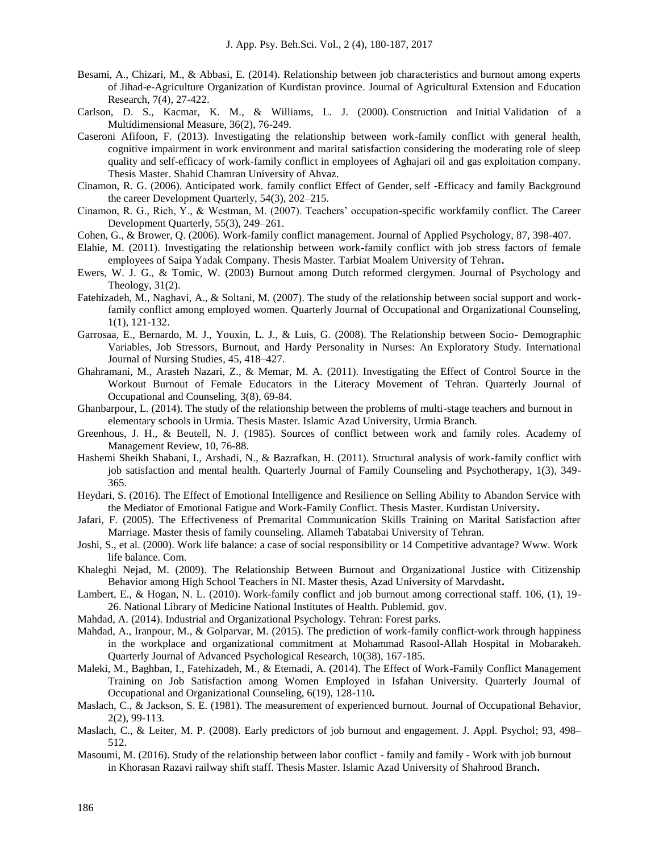- Besami, A., Chizari, M., & Abbasi, E. (2014). Relationship between job characteristics and burnout among experts of Jihad-e-Agriculture Organization of Kurdistan province. Journal of Agricultural Extension and Education Research, 7(4), 27-422.
- Carlson, D. S., Kacmar, K. M., & Williams, L. J. (2000). Construction and Initial Validation of a Multidimensional Measure, 36(2), 76-249.
- Caseroni Afifoon, F. (2013). Investigating the relationship between work-family conflict with general health, cognitive impairment in work environment and marital satisfaction considering the moderating role of sleep quality and self-efficacy of work-family conflict in employees of Aghajari oil and gas exploitation company. Thesis Master. Shahid Chamran University of Ahvaz.
- Cinamon, R. G. (2006). Anticipated work. family conflict Effect of Gender, self -Efficacy and family Background the career Development Quarterly, 54(3), 202–215.
- Cinamon, R. G., Rich, Y., & Westman, M. (2007). Teachers' occupation-specific workfamily conflict. The Career Development Quarterly, 55(3), 249–261.
- Cohen, G., & Brower, Q. (2006). Work-family conflict management. Journal of Applied Psychology, 87, 398-407.
- Elahie, M. (2011). Investigating the relationship between work-family conflict with job stress factors of female employees of Saipa Yadak Company. Thesis Master. Tarbiat Moalem University of Tehran**.**
- Ewers, W. J. G., & Tomic, W. (2003) Burnout among Dutch reformed clergymen. Journal of Psychology and Theology,  $31(2)$ .
- Fatehizadeh, M., Naghavi, A., & Soltani, M. (2007). The study of the relationship between social support and workfamily conflict among employed women. Quarterly Journal of Occupational and Organizational Counseling, 1(1), 121-132.
- Garrosaa, E., Bernardo, M. J., Youxin, L. J., & Luis, G. (2008). The Relationship between Socio- Demographic Variables, Job Stressors, Burnout, and Hardy Personality in Nurses: An Exploratory Study. International Journal of Nursing Studies, 45, 418–427.
- Ghahramani, M., Arasteh Nazari, Z., & Memar, M. A. (2011). Investigating the Effect of Control Source in the Workout Burnout of Female Educators in the Literacy Movement of Tehran. Quarterly Journal of Occupational and Counseling, 3(8), 69-84.
- Ghanbarpour, L. (2014). The study of the relationship between the problems of multi-stage teachers and burnout in elementary schools in Urmia. Thesis Master. Islamic Azad University, Urmia Branch.
- Greenhous, J. H., & Beutell, N. J. (1985). Sources of conflict between work and family roles. Academy of Management Review, 10, 76-88.
- Hashemi Sheikh Shabani, I., Arshadi, N., & Bazrafkan, H. (2011). Structural analysis of work-family conflict with job satisfaction and mental health. Quarterly Journal of Family Counseling and Psychotherapy, 1(3), 349- 365.
- Heydari, S. (2016). The Effect of Emotional Intelligence and Resilience on Selling Ability to Abandon Service with the Mediator of Emotional Fatigue and Work-Family Conflict. Thesis Master. Kurdistan University**.**
- Jafari, F. (2005). The Effectiveness of Premarital Communication Skills Training on Marital Satisfaction after Marriage. Master thesis of family counseling. Allameh Tabatabai University of Tehran.
- Joshi, S., et al. (2000). Work life balance: a case of social responsibility or 14 Competitive advantage? Www. Work life balance. Com.
- Khaleghi Nejad, M. (2009). The Relationship Between Burnout and Organizational Justice with Citizenship Behavior among High School Teachers in NI. Master thesis, Azad University of Marvdasht**.**
- Lambert, E., & Hogan, N. L. (2010). Work-family conflict and job burnout among correctional staff. 106, (1), 19- 26. [National Library of Medicine](http://www.nlm.nih.gov/) [National Institutes of Health.](http://www.nih.gov/) Publemid. gov.
- Mahdad, A. (2014). Industrial and Organizational Psychology. Tehran: Forest parks.
- Mahdad, A., Iranpour, M., & Golparvar, M. (2015). The prediction of work-family conflict-work through happiness in the workplace and organizational commitment at Mohammad Rasool-Allah Hospital in Mobarakeh. Quarterly Journal of Advanced Psychological Research, 10(38), 167-185.
- Maleki, M., Baghban, I., Fatehizadeh, M., & Etemadi, A. (2014). The Effect of Work-Family Conflict Management Training on Job Satisfaction among Women Employed in Isfahan University. Quarterly Journal of Occupational and Organizational Counseling, 6(19), 128-110**.**
- Maslach, C., & Jackson, S. E. (1981). The measurement of experienced burnout. Journal of Occupational Behavior, 2(2), 99-113.
- Maslach, C., & Leiter, M. P. (2008). Early predictors of job burnout and engagement. J. Appl. Psychol; 93, 498– 512.
- Masoumi, M. (2016). Study of the relationship between labor conflict family and family Work with job burnout in Khorasan Razavi railway shift staff. Thesis Master. Islamic Azad University of Shahrood Branch**.**